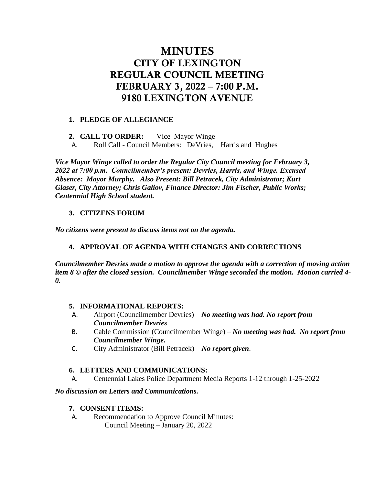# MINUTES CITY OF LEXINGTON REGULAR COUNCIL MEETING FEBRUARY 3, 2022 – 7:00 P.M. 9180 LEXINGTON AVENUE

## **1. PLEDGE OF ALLEGIANCE**

**2. CALL TO ORDER:** – Vice Mayor Winge

A. Roll Call - Council Members: DeVries, Harris and Hughes

*Vice Mayor Winge called to order the Regular City Council meeting for February 3, 2022 at 7:00 p.m. Councilmember's present: Devries, Harris, and Winge. Excused Absence: Mayor Murphy. Also Present: Bill Petracek, City Administrator; Kurt Glaser, City Attorney; Chris Galiov, Finance Director: Jim Fischer, Public Works; Centennial High School student.* 

# **3. CITIZENS FORUM**

*No citizens were present to discuss items not on the agenda.*

# **4. APPROVAL OF AGENDA WITH CHANGES AND CORRECTIONS**

*Councilmember Devries made a motion to approve the agenda with a correction of moving action item 8 © after the closed session. Councilmember Winge seconded the motion. Motion carried 4- 0.*

## **5. INFORMATIONAL REPORTS:**

- A. Airport (Councilmember Devries) *No meeting was had. No report from Councilmember Devries*
- B. Cable Commission (Councilmember Winge) *No meeting was had. No report from Councilmember Winge.*
- C. City Administrator (Bill Petracek) *No report given*.

# **6. LETTERS AND COMMUNICATIONS:**

A. Centennial Lakes Police Department Media Reports 1-12 through 1-25-2022

## *No discussion on Letters and Communications.*

## **7. CONSENT ITEMS:**

A. Recommendation to Approve Council Minutes: Council Meeting – January 20, 2022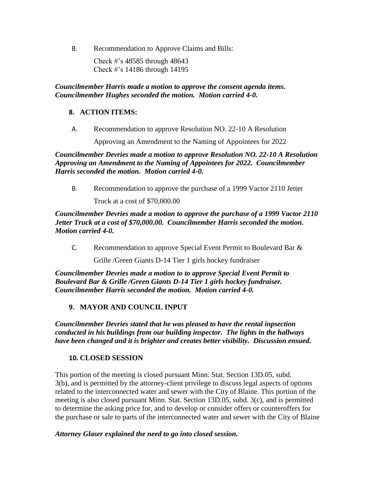B. Recommendation to Approve Claims and Bills:

Check #'s 48585 through 48643 Check #'s 14186 through 14195

*Councilmember Harris made a motion to approve the consent agenda items. Councilmember Hughes seconded the motion. Motion carried 4-0.*

#### **8. ACTION ITEMS:**

A. Recommendation to approve Resolution NO. 22-10 A Resolution

Approving an Amendment to the Naming of Appointees for 2022

*Councilmember Devries made a motion to approve Resolution NO. 22-10 A Resolution Approving an Amendment to the Naming of Appointees for 2022. Councilmember Harris seconded the motion. Motion carried 4-0.* 

B. Recommendation to approve the purchase of a 1999 Vactor 2110 Jetter

Truck at a cost of \$70,000.00

*Councilmember Devries made a motion to approve the purchase of a 1999 Vactor 2110 Jetter Truck at a cost of \$70,000.00. Councilmember Harris seconded the motion. Motion carried 4-0.* 

C. Recommendation to approve Special Event Permit to Boulevard Bar &

Grille /Green Giants D-14 Tier 1 girls hockey fundraiser

*Councilmember Devries made a motion to to approve Special Event Permit to Boulevard Bar & Grille /Green Giants D-14 Tier 1 girls hockey fundraiser. Councilmember Harris seconded the motion. Motion carried 4-0.* 

## **9. MAYOR AND COUNCIL INPUT**

*Councilmember Devries stated that he was pleased to have the rental inpsection conducted in his buildings from our building inspector. The lights in the hallways have been changed and it is brighter and creates better visibility. Discussion ensued.* 

## **10. CLOSED SESSION**

This portion of the meeting is closed pursuant Minn. Stat. Section 13D.05, subd. 3(b), and is permitted by the attorney-client privilege to discuss legal aspects of options related to the interconnected water and sewer with the City of Blaine. This portion of the meeting is also closed pursuant Minn. Stat. Section 13D.05, subd. 3(c), and is permitted to determine the asking price for, and to develop or consider offers or counteroffers for the purchase or sale to parts of the interconnected water and sewer with the City of Blaine

#### *Attorney Glaser explained the need to go into closed session.*